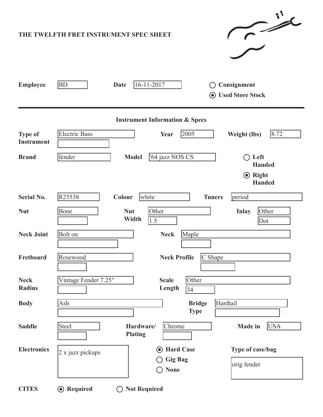| $\sim$<br>THE TWELFTH FRET INSTRUMENT SPEC SHEET |                                                                                                                                      |  |  |  |  |  |  |
|--------------------------------------------------|--------------------------------------------------------------------------------------------------------------------------------------|--|--|--|--|--|--|
| <b>Employee</b>                                  | $16 - 11 - 2017$<br><b>BD</b><br><b>Date</b><br>Consignment<br><b>◎</b> Used Store Stock                                             |  |  |  |  |  |  |
| <b>Instrument Information &amp; Specs</b>        |                                                                                                                                      |  |  |  |  |  |  |
| <b>Type of</b><br><b>Instrument</b>              | <b>Electric Bass</b><br>2005<br>8.72<br><b>Weight (lbs)</b><br>Year                                                                  |  |  |  |  |  |  |
| <b>Brand</b>                                     | '64 jazz NOS CS<br>fender<br>Left<br><b>Model</b><br>$\Box$<br><b>Handed</b>                                                         |  |  |  |  |  |  |
|                                                  | $\odot$ Right<br><b>Handed</b>                                                                                                       |  |  |  |  |  |  |
| <b>Serial No.</b>                                | R25538<br>period<br>white<br>Colour<br><b>Tuners</b>                                                                                 |  |  |  |  |  |  |
| <b>Nut</b>                                       | <b>Nut</b><br>Other<br><b>Inlay</b><br>Bone<br>Other<br>Width<br>1.5<br>Dot                                                          |  |  |  |  |  |  |
| <b>Neck Joint</b>                                | Bolt on<br>Maple<br><b>Neck</b>                                                                                                      |  |  |  |  |  |  |
| Fretboard                                        | C Shape<br><b>Neck Profile</b><br>Rosewood                                                                                           |  |  |  |  |  |  |
| <b>Neck</b><br><b>Radius</b>                     | Vintage Fender 7.25"<br>Other<br><b>Scale</b><br>Length<br>$\overline{34}$                                                           |  |  |  |  |  |  |
| <b>Body</b>                                      | Hardtail<br><b>Bridge</b><br>Ash<br><b>Type</b>                                                                                      |  |  |  |  |  |  |
| <b>Saddle</b>                                    | <b>USA</b><br>Steel<br>Chrome<br>Hardware/<br><b>Made in</b><br><b>Plating</b>                                                       |  |  |  |  |  |  |
| <b>Electronics</b>                               | <b>Hard Case</b><br>Type of case/bag<br>$\left( \bullet \right)$<br>2 x jazz pickups<br><b>Gig Bag</b><br>orig fender<br><b>None</b> |  |  |  |  |  |  |
| <b>CITES</b>                                     | <b>⊙</b> Required<br><b>Not Required</b>                                                                                             |  |  |  |  |  |  |